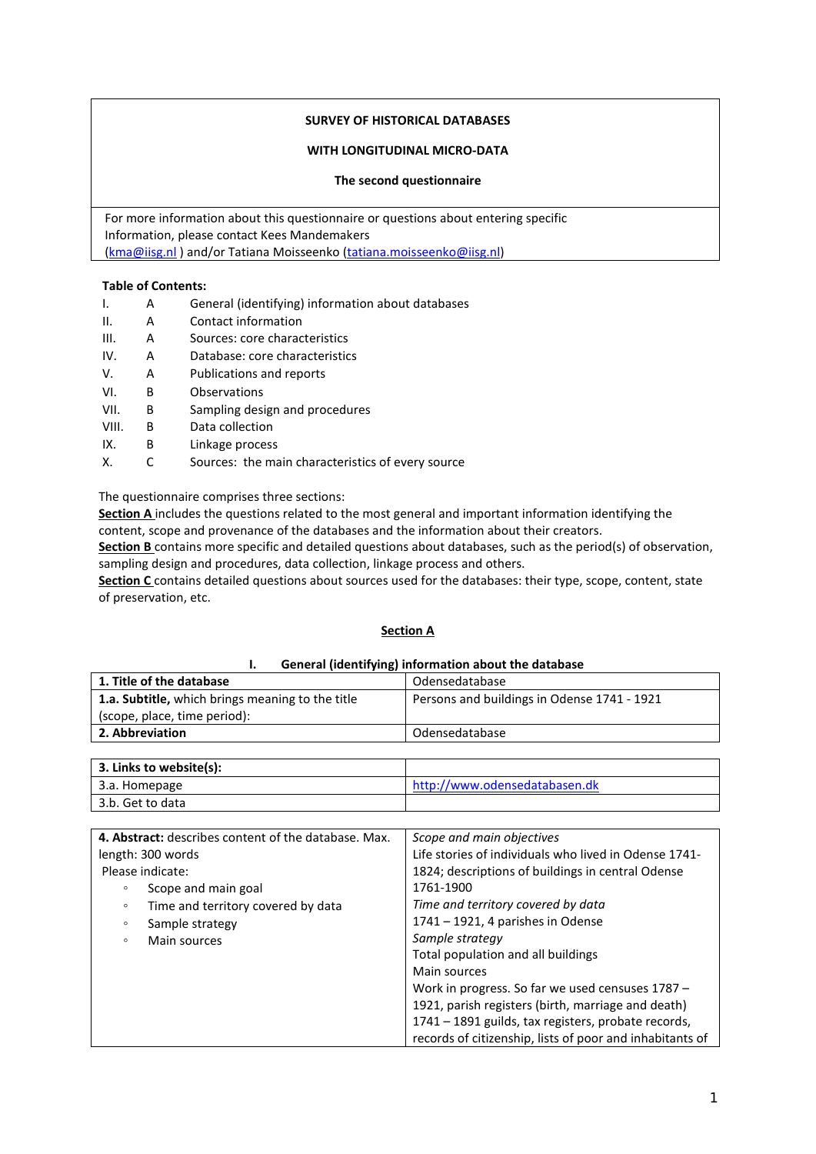## **SURVEY OF HISTORICAL DATABASES**

### **WITH LONGITUDINAL MICRO-DATA**

#### **The second questionnaire**

For more information about this questionnaire or questions about entering specific Information, please contact Kees Mandemakers [\(kma@iisg.nl](mailto:kma@iisg.nl) ) and/or Tatiana Moisseenko [\(tatiana.moisseenko@iisg.nl\)](mailto:tatiana.moisseenko@iisg.nl)

### **Table of Contents:**

- I. A General (identifying) information about databases
- II. A Contact information
- III. A Sources: core characteristics
- IV. A Database: core characteristics
- V. A Publications and reports
- VI. B Observations
- VII. B Sampling design and procedures
- VIII. B Data collection
- IX. B Linkage process
- X. C Sources: the main characteristics of every source

The questionnaire comprises three sections:

**Section A** includes the questions related to the most general and important information identifying the content, scope and provenance of the databases and the information about their creators.

**Section B** contains more specific and detailed questions about databases, such as the period(s) of observation, sampling design and procedures, data collection, linkage process and others.

**Section C** contains detailed questions about sources used for the databases: their type, scope, content, state of preservation, etc.

### **Section A**

#### **I. General (identifying) information about the database**

| 1. Title of the database                         | Odensedatabase                              |  |
|--------------------------------------------------|---------------------------------------------|--|
| 1.a. Subtitle, which brings meaning to the title | Persons and buildings in Odense 1741 - 1921 |  |
| (scope, place, time period):                     |                                             |  |
| 2. Abbreviation                                  | Odensedatabase                              |  |
|                                                  |                                             |  |

| 3. Links to website(s): |                               |
|-------------------------|-------------------------------|
| 3.a. Homepage           | http://www.odensedatabasen.dk |
| 3.b. Get to data        |                               |

| 4. Abstract: describes content of the database. Max. | Scope and main objectives                                |
|------------------------------------------------------|----------------------------------------------------------|
| length: 300 words                                    | Life stories of individuals who lived in Odense 1741-    |
| Please indicate:                                     | 1824; descriptions of buildings in central Odense        |
| Scope and main goal<br>$\circ$                       | 1761-1900                                                |
| Time and territory covered by data<br>$\circ$        | Time and territory covered by data                       |
| Sample strategy<br>$\circ$                           | $1741 - 1921$ , 4 parishes in Odense                     |
| Main sources<br>$\circ$                              | Sample strategy                                          |
|                                                      | Total population and all buildings                       |
|                                                      | Main sources                                             |
|                                                      | Work in progress. So far we used censuses 1787 -         |
|                                                      | 1921, parish registers (birth, marriage and death)       |
|                                                      | 1741 - 1891 guilds, tax registers, probate records,      |
|                                                      | records of citizenship, lists of poor and inhabitants of |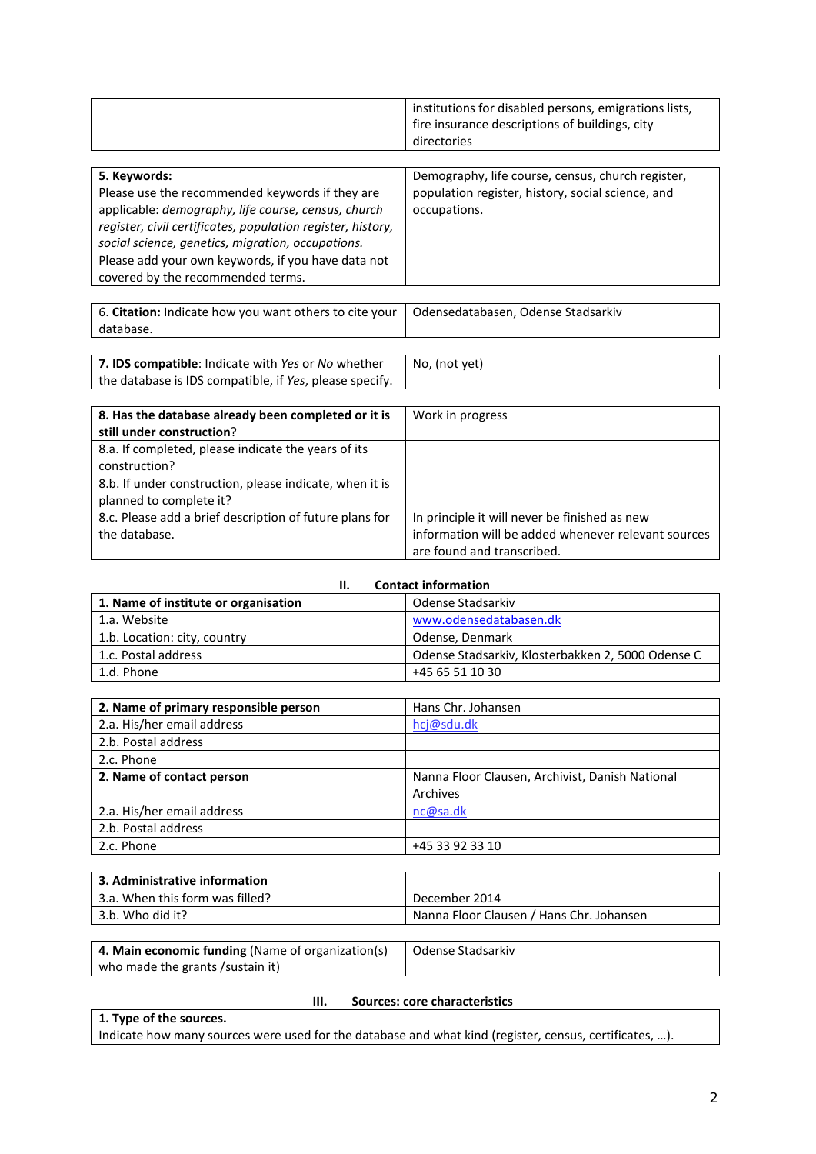|  | institutions for disabled persons, emigrations lists,<br>fire insurance descriptions of buildings, city<br>directories |
|--|------------------------------------------------------------------------------------------------------------------------|
|--|------------------------------------------------------------------------------------------------------------------------|

| 5. Keywords:                                                | Demography, life course, census, church register, |
|-------------------------------------------------------------|---------------------------------------------------|
| Please use the recommended keywords if they are             | population register, history, social science, and |
| applicable: demography, life course, census, church         | occupations.                                      |
| register, civil certificates, population register, history, |                                                   |
| social science, genetics, migration, occupations.           |                                                   |
| Please add your own keywords, if you have data not          |                                                   |
| covered by the recommended terms.                           |                                                   |
|                                                             |                                                   |

6. **Citation:** Indicate how you want others to cite your database. Odensedatabasen, Odense Stadsarkiv

| 7. IDS compatible: Indicate with Yes or No whether      | No, (not yet) |
|---------------------------------------------------------|---------------|
| the database is IDS compatible, if Yes, please specify. |               |

| 8. Has the database already been completed or it is     | Work in progress                                    |  |
|---------------------------------------------------------|-----------------------------------------------------|--|
| still under construction?                               |                                                     |  |
| 8.a. If completed, please indicate the years of its     |                                                     |  |
| construction?                                           |                                                     |  |
| 8.b. If under construction, please indicate, when it is |                                                     |  |
| planned to complete it?                                 |                                                     |  |
| 8.c. Please add a brief description of future plans for | In principle it will never be finished as new       |  |
| the database.                                           | information will be added whenever relevant sources |  |
|                                                         | are found and transcribed.                          |  |

| <b>Contact information</b><br>н.     |                                                   |  |
|--------------------------------------|---------------------------------------------------|--|
| 1. Name of institute or organisation | Odense Stadsarkiv                                 |  |
| 1.a. Website                         | www.odensedatabasen.dk                            |  |
| 1.b. Location: city, country         | Odense, Denmark                                   |  |
| 1.c. Postal address                  | Odense Stadsarkiv, Klosterbakken 2, 5000 Odense C |  |
| 1.d. Phone                           | +45 65 51 10 30                                   |  |

| 2. Name of primary responsible person | Hans Chr. Johansen                              |  |  |
|---------------------------------------|-------------------------------------------------|--|--|
| 2.a. His/her email address            | hcj@sdu.dk                                      |  |  |
| 2.b. Postal address                   |                                                 |  |  |
| 2.c. Phone                            |                                                 |  |  |
| 2. Name of contact person             | Nanna Floor Clausen, Archivist, Danish National |  |  |
|                                       | Archives                                        |  |  |
| 2.a. His/her email address            | nc@sa.dk                                        |  |  |
| 2.b. Postal address                   |                                                 |  |  |
| 2.c. Phone                            | +45 33 92 33 10                                 |  |  |

| 3. Administrative information   |                                          |
|---------------------------------|------------------------------------------|
| 3.a. When this form was filled? | December 2014                            |
| 3.b. Who did it?                | Nanna Floor Clausen / Hans Chr. Johansen |
|                                 |                                          |

| 4. Main economic funding (Name of organization(s) | Odense Stadsarkiv |
|---------------------------------------------------|-------------------|
| who made the grants /sustain it)                  |                   |

## **III. Sources: core characteristics**

**1. Type of the sources.** 

Indicate how many sources were used for the database and what kind (register, census, certificates, …).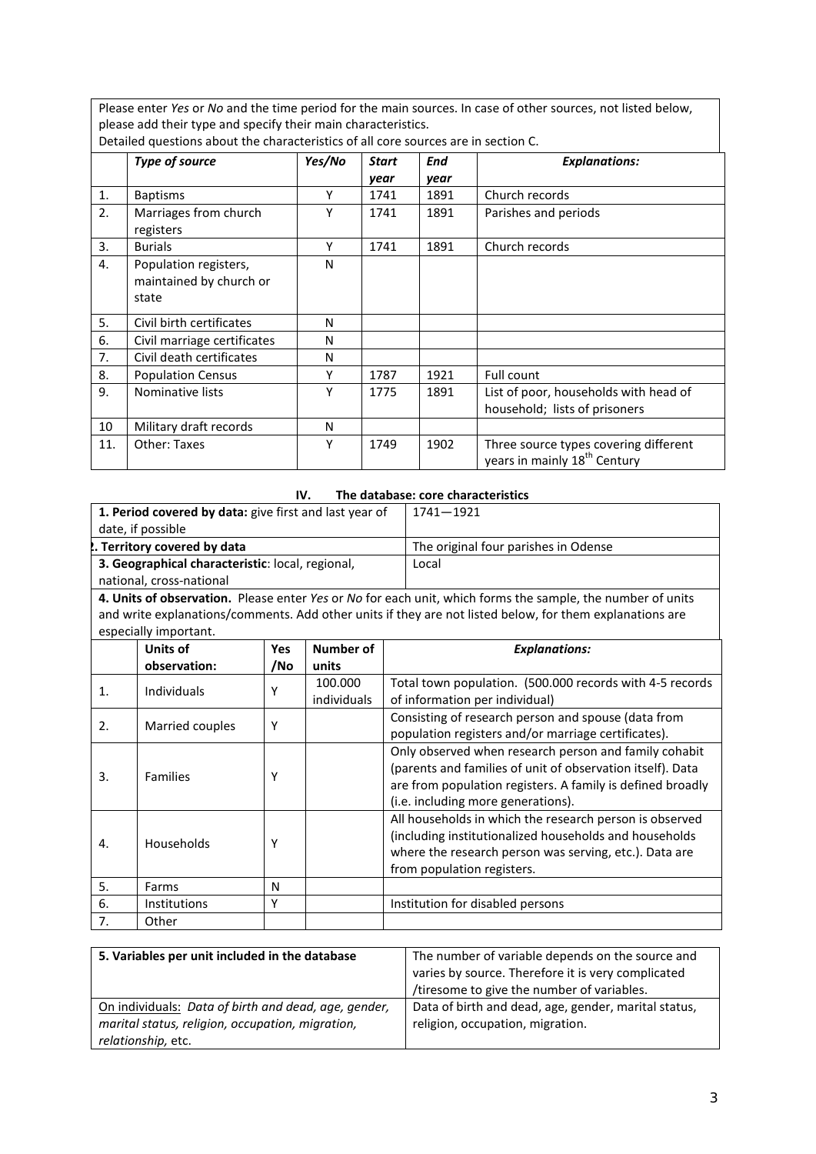Please enter *Yes* or *No* and the time period for the main sources. In case of other sources, not listed below, please add their type and specify their main characteristics.

|                | Type of source              | Yes/No | <b>Start</b> | End  | <b>Explanations:</b>                     |
|----------------|-----------------------------|--------|--------------|------|------------------------------------------|
|                |                             |        | year         | year |                                          |
| 1.             | <b>Baptisms</b>             | Υ      | 1741         | 1891 | Church records                           |
| 2.             | Marriages from church       | γ      | 1741         | 1891 | Parishes and periods                     |
|                | registers                   |        |              |      |                                          |
| 3.             | <b>Burials</b>              | Υ      | 1741         | 1891 | Church records                           |
| 4.             | Population registers,       | N      |              |      |                                          |
|                | maintained by church or     |        |              |      |                                          |
|                | state                       |        |              |      |                                          |
| 5.             | Civil birth certificates    | N      |              |      |                                          |
| 6.             | Civil marriage certificates | N      |              |      |                                          |
| 7 <sub>1</sub> | Civil death certificates    | N      |              |      |                                          |
| 8.             | <b>Population Census</b>    | Υ      | 1787         | 1921 | Full count                               |
| 9.             | Nominative lists            | γ      | 1775         | 1891 | List of poor, households with head of    |
|                |                             |        |              |      | household; lists of prisoners            |
| 10             | Military draft records      | N      |              |      |                                          |
| 11.            | <b>Other: Taxes</b>         | Υ      | 1749         | 1902 | Three source types covering different    |
|                |                             |        |              |      | years in mainly 18 <sup>th</sup> Century |

Detailed questions about the characteristics of all core sources are in section C.

## **IV. The database: core characteristics**

| 1. Period covered by data: give first and last year of<br>date, if possible |                                                                                                            |            | $1741 - 1921$      |                                                                                                                                                                                                                         |
|-----------------------------------------------------------------------------|------------------------------------------------------------------------------------------------------------|------------|--------------------|-------------------------------------------------------------------------------------------------------------------------------------------------------------------------------------------------------------------------|
| . Territory covered by data                                                 |                                                                                                            |            |                    | The original four parishes in Odense                                                                                                                                                                                    |
|                                                                             | 3. Geographical characteristic: local, regional,                                                           |            |                    | Local                                                                                                                                                                                                                   |
| national, cross-national                                                    |                                                                                                            |            |                    |                                                                                                                                                                                                                         |
|                                                                             | 4. Units of observation. Please enter Yes or No for each unit, which forms the sample, the number of units |            |                    |                                                                                                                                                                                                                         |
|                                                                             | especially important.                                                                                      |            |                    | and write explanations/comments. Add other units if they are not listed below, for them explanations are                                                                                                                |
|                                                                             | Units of<br>observation:                                                                                   | Yes<br>/No | Number of<br>units | <b>Explanations:</b>                                                                                                                                                                                                    |
|                                                                             |                                                                                                            |            | 100.000            | Total town population. (500.000 records with 4-5 records                                                                                                                                                                |
| 1.                                                                          | Individuals                                                                                                | Y          | individuals        | of information per individual)                                                                                                                                                                                          |
| 2.                                                                          | Married couples                                                                                            | Y          |                    | Consisting of research person and spouse (data from<br>population registers and/or marriage certificates).                                                                                                              |
| 3.                                                                          | <b>Families</b>                                                                                            | Υ          |                    | Only observed when research person and family cohabit<br>(parents and families of unit of observation itself). Data<br>are from population registers. A family is defined broadly<br>(i.e. including more generations). |
| 4.                                                                          | Households                                                                                                 | Υ          |                    | All households in which the research person is observed<br>(including institutionalized households and households<br>where the research person was serving, etc.). Data are<br>from population registers.               |
| 5.                                                                          | Farms                                                                                                      | N          |                    |                                                                                                                                                                                                                         |
| 6.                                                                          | Institutions                                                                                               | Y          |                    | Institution for disabled persons                                                                                                                                                                                        |
| 7.                                                                          | Other                                                                                                      |            |                    |                                                                                                                                                                                                                         |

| 5. Variables per unit included in the database       | The number of variable depends on the source and     |
|------------------------------------------------------|------------------------------------------------------|
|                                                      | varies by source. Therefore it is very complicated   |
|                                                      | /tiresome to give the number of variables.           |
| On individuals: Data of birth and dead, age, gender, | Data of birth and dead, age, gender, marital status, |
| marital status, religion, occupation, migration,     | religion, occupation, migration.                     |
| relationship, etc.                                   |                                                      |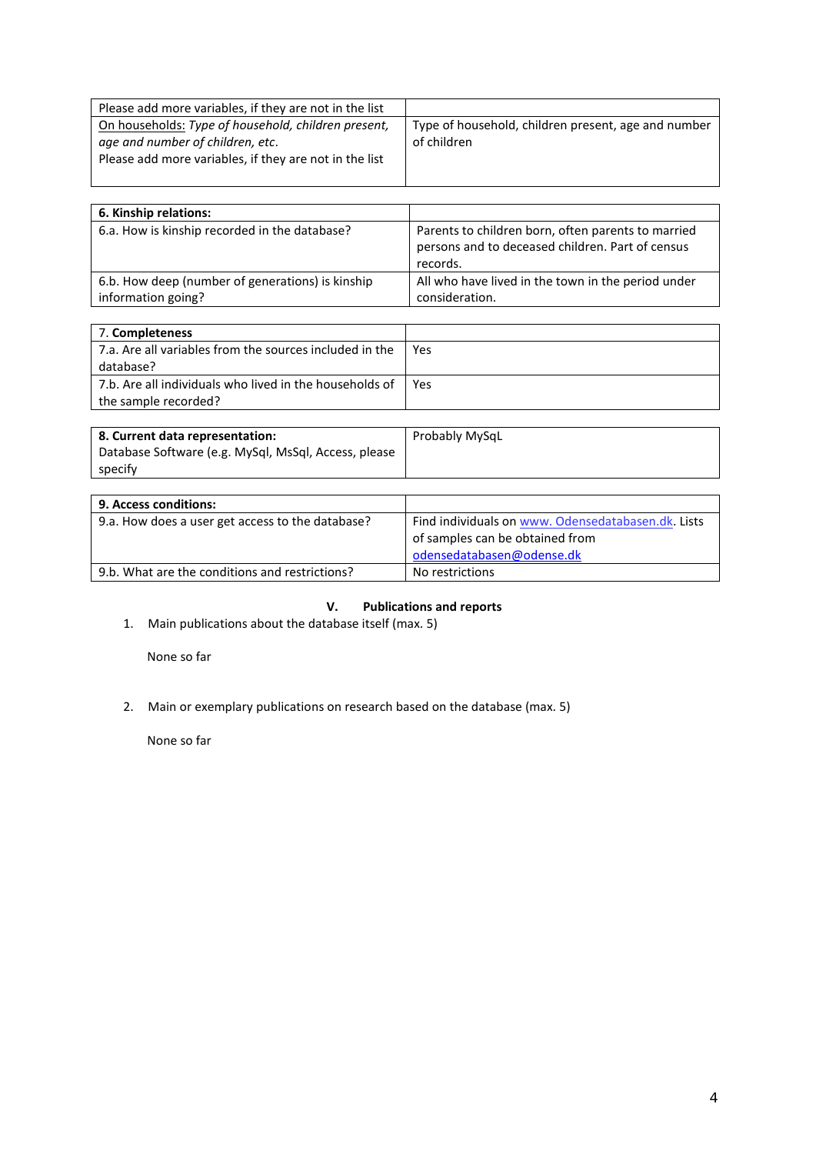| Please add more variables, if they are not in the list                                                                                            |                                                                    |
|---------------------------------------------------------------------------------------------------------------------------------------------------|--------------------------------------------------------------------|
| On households: Type of household, children present,<br>age and number of children, etc.<br>Please add more variables, if they are not in the list | Type of household, children present, age and number<br>of children |

| 6. Kinship relations:                                                  |                                                                                                                    |
|------------------------------------------------------------------------|--------------------------------------------------------------------------------------------------------------------|
| 6.a. How is kinship recorded in the database?                          | Parents to children born, often parents to married<br>persons and to deceased children. Part of census<br>records. |
| 6.b. How deep (number of generations) is kinship<br>information going? | All who have lived in the town in the period under<br>consideration.                                               |

| 7. Completeness                                         |      |
|---------------------------------------------------------|------|
| 7.a. Are all variables from the sources included in the | Yes. |
| database?                                               |      |
| 7.b. Are all individuals who lived in the households of | Yes  |
| the sample recorded?                                    |      |

| 8. Current data representation:                      | Probably MySqL |
|------------------------------------------------------|----------------|
| Database Software (e.g. MySql, MsSql, Access, please |                |
| specify                                              |                |

| <b>9. Access conditions:</b>                     |                                                    |
|--------------------------------------------------|----------------------------------------------------|
| 9.a. How does a user get access to the database? | Find individuals on www. Odensedatabasen.dk. Lists |
|                                                  | of samples can be obtained from                    |
|                                                  | odensedatabasen@odense.dk                          |
| 9.b. What are the conditions and restrictions?   | No restrictions                                    |

# **V. Publications and reports**

1. Main publications about the database itself (max. 5)

None so far

2. Main or exemplary publications on research based on the database (max. 5)

None so far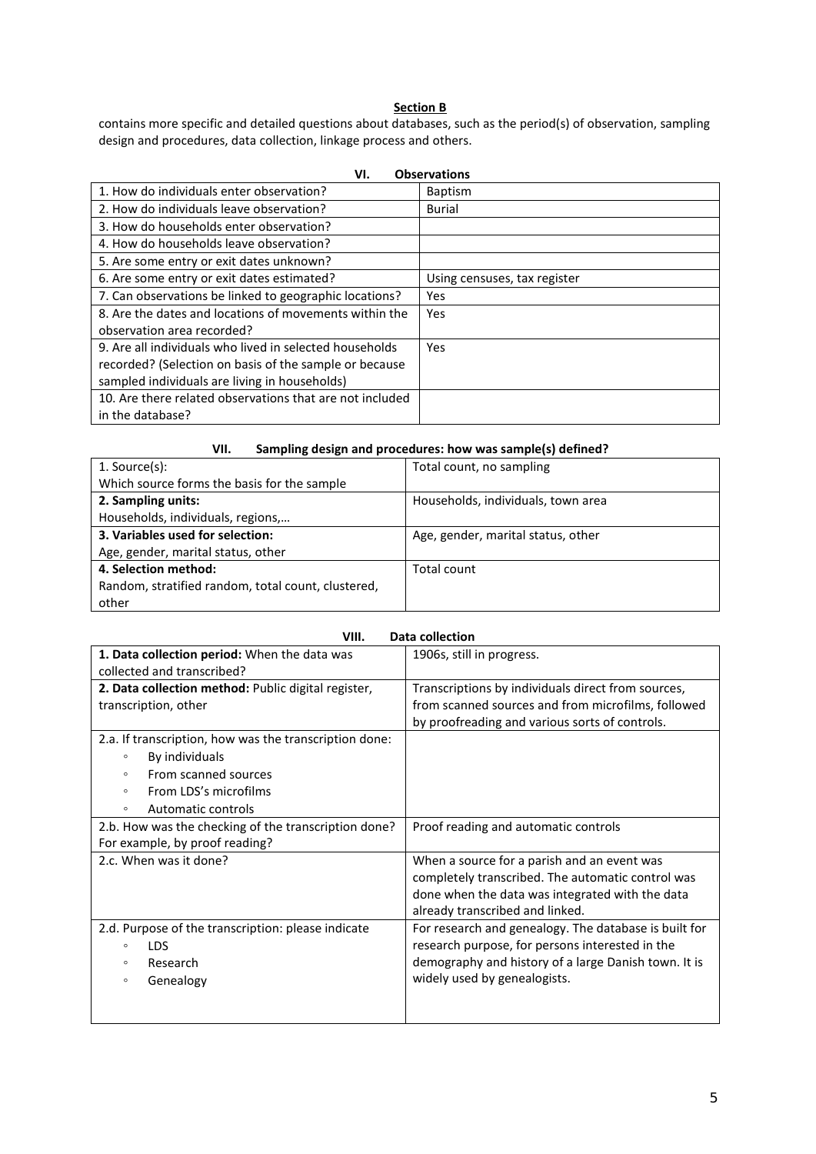## **Section B**

contains more specific and detailed questions about databases, such as the period(s) of observation, sampling design and procedures, data collection, linkage process and others.

| <b>Observations</b><br>VI.                               |                              |  |  |
|----------------------------------------------------------|------------------------------|--|--|
| 1. How do individuals enter observation?                 | <b>Baptism</b>               |  |  |
| 2. How do individuals leave observation?                 | <b>Burial</b>                |  |  |
| 3. How do households enter observation?                  |                              |  |  |
| 4. How do households leave observation?                  |                              |  |  |
| 5. Are some entry or exit dates unknown?                 |                              |  |  |
| 6. Are some entry or exit dates estimated?               | Using censuses, tax register |  |  |
| 7. Can observations be linked to geographic locations?   | Yes                          |  |  |
| 8. Are the dates and locations of movements within the   | Yes                          |  |  |
| observation area recorded?                               |                              |  |  |
| 9. Are all individuals who lived in selected households  | Yes                          |  |  |
| recorded? (Selection on basis of the sample or because   |                              |  |  |
| sampled individuals are living in households)            |                              |  |  |
| 10. Are there related observations that are not included |                              |  |  |
| in the database?                                         |                              |  |  |

## **VII. Sampling design and procedures: how was sample(s) defined?**

| $1.$ Source(s):                                    | Total count, no sampling           |
|----------------------------------------------------|------------------------------------|
| Which source forms the basis for the sample        |                                    |
| 2. Sampling units:                                 | Households, individuals, town area |
| Households, individuals, regions,                  |                                    |
| 3. Variables used for selection:                   | Age, gender, marital status, other |
| Age, gender, marital status, other                 |                                    |
| 4. Selection method:                               | Total count                        |
| Random, stratified random, total count, clustered, |                                    |
| other                                              |                                    |

| Data collection<br>VIII.                               |                                                       |  |
|--------------------------------------------------------|-------------------------------------------------------|--|
| 1. Data collection period: When the data was           | 1906s, still in progress.                             |  |
| collected and transcribed?                             |                                                       |  |
| 2. Data collection method: Public digital register,    | Transcriptions by individuals direct from sources,    |  |
| transcription, other                                   | from scanned sources and from microfilms, followed    |  |
|                                                        | by proofreading and various sorts of controls.        |  |
| 2.a. If transcription, how was the transcription done: |                                                       |  |
| By individuals<br>$\circ$                              |                                                       |  |
| From scanned sources<br>$\circ$                        |                                                       |  |
| From LDS's microfilms<br>$\circ$                       |                                                       |  |
| Automatic controls<br>$\circ$                          |                                                       |  |
| 2.b. How was the checking of the transcription done?   | Proof reading and automatic controls                  |  |
| For example, by proof reading?                         |                                                       |  |
| 2.c. When was it done?                                 | When a source for a parish and an event was           |  |
|                                                        | completely transcribed. The automatic control was     |  |
|                                                        | done when the data was integrated with the data       |  |
|                                                        | already transcribed and linked.                       |  |
| 2.d. Purpose of the transcription: please indicate     | For research and genealogy. The database is built for |  |
| <b>LDS</b><br>$\circ$                                  | research purpose, for persons interested in the       |  |
| Research<br>$\circ$                                    | demography and history of a large Danish town. It is  |  |
| Genealogy<br>$\circ$                                   | widely used by genealogists.                          |  |
|                                                        |                                                       |  |
|                                                        |                                                       |  |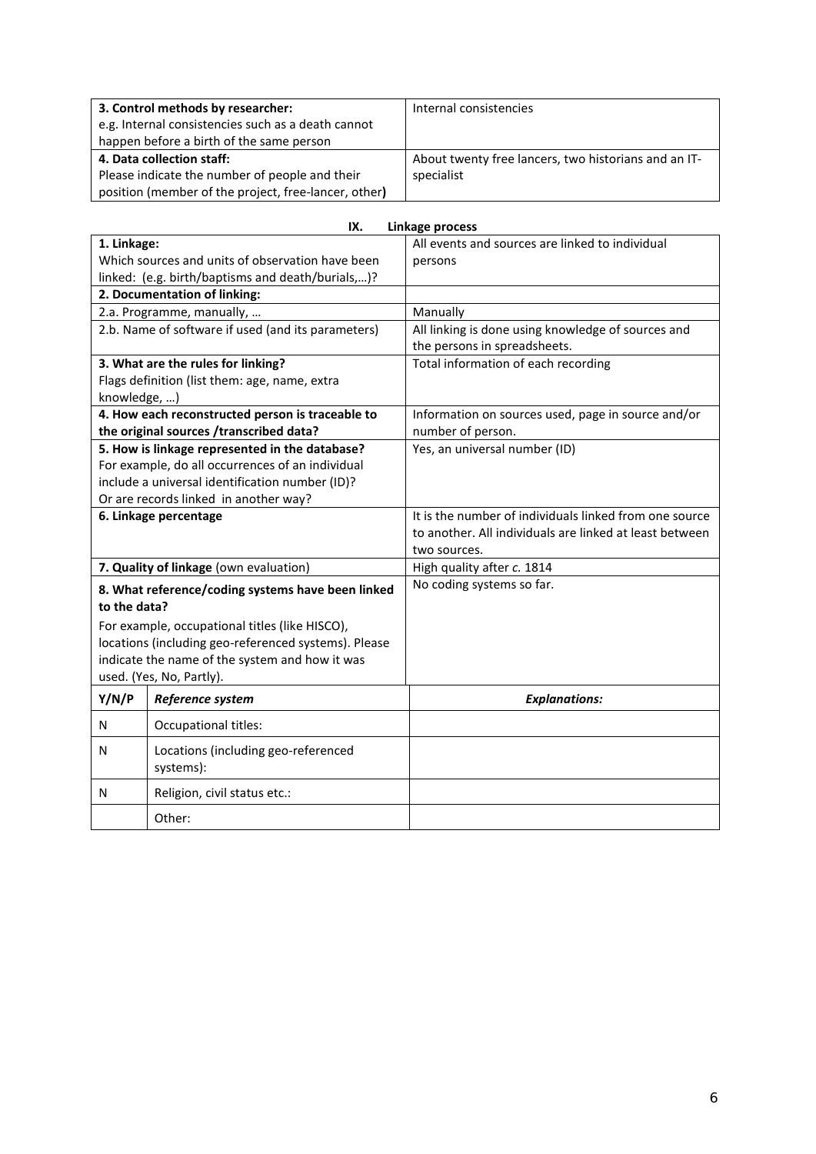| 3. Control methods by researcher:                    | Internal consistencies                               |
|------------------------------------------------------|------------------------------------------------------|
| e.g. Internal consistencies such as a death cannot   |                                                      |
| happen before a birth of the same person             |                                                      |
| 4. Data collection staff:                            | About twenty free lancers, two historians and an IT- |
| Please indicate the number of people and their       | specialist                                           |
| position (member of the project, free-lancer, other) |                                                      |

|                                                   | IX.                                                  | <b>Linkage process</b>                                  |
|---------------------------------------------------|------------------------------------------------------|---------------------------------------------------------|
| 1. Linkage:                                       |                                                      | All events and sources are linked to individual         |
|                                                   | Which sources and units of observation have been     | persons                                                 |
| linked: (e.g. birth/baptisms and death/burials,)? |                                                      |                                                         |
|                                                   | 2. Documentation of linking:                         |                                                         |
|                                                   | 2.a. Programme, manually,                            | Manually                                                |
|                                                   | 2.b. Name of software if used (and its parameters)   | All linking is done using knowledge of sources and      |
|                                                   |                                                      | the persons in spreadsheets.                            |
|                                                   | 3. What are the rules for linking?                   | Total information of each recording                     |
|                                                   | Flags definition (list them: age, name, extra        |                                                         |
| knowledge, )                                      |                                                      |                                                         |
|                                                   | 4. How each reconstructed person is traceable to     | Information on sources used, page in source and/or      |
|                                                   | the original sources /transcribed data?              | number of person.                                       |
|                                                   | 5. How is linkage represented in the database?       | Yes, an universal number (ID)                           |
|                                                   | For example, do all occurrences of an individual     |                                                         |
|                                                   | include a universal identification number (ID)?      |                                                         |
|                                                   | Or are records linked in another way?                |                                                         |
|                                                   | 6. Linkage percentage                                | It is the number of individuals linked from one source  |
|                                                   |                                                      | to another. All individuals are linked at least between |
|                                                   |                                                      | two sources.                                            |
| 7. Quality of linkage (own evaluation)            |                                                      | High quality after c. 1814                              |
|                                                   | 8. What reference/coding systems have been linked    | No coding systems so far.                               |
| to the data?                                      |                                                      |                                                         |
|                                                   | For example, occupational titles (like HISCO),       |                                                         |
|                                                   | locations (including geo-referenced systems). Please |                                                         |
|                                                   | indicate the name of the system and how it was       |                                                         |
| used. (Yes, No, Partly).                          |                                                      |                                                         |
| Y/N/P<br>Reference system                         |                                                      | <b>Explanations:</b>                                    |
| N                                                 | Occupational titles:                                 |                                                         |
| N                                                 | Locations (including geo-referenced                  |                                                         |
|                                                   | systems):                                            |                                                         |
| N                                                 | Religion, civil status etc.:                         |                                                         |
|                                                   | Other:                                               |                                                         |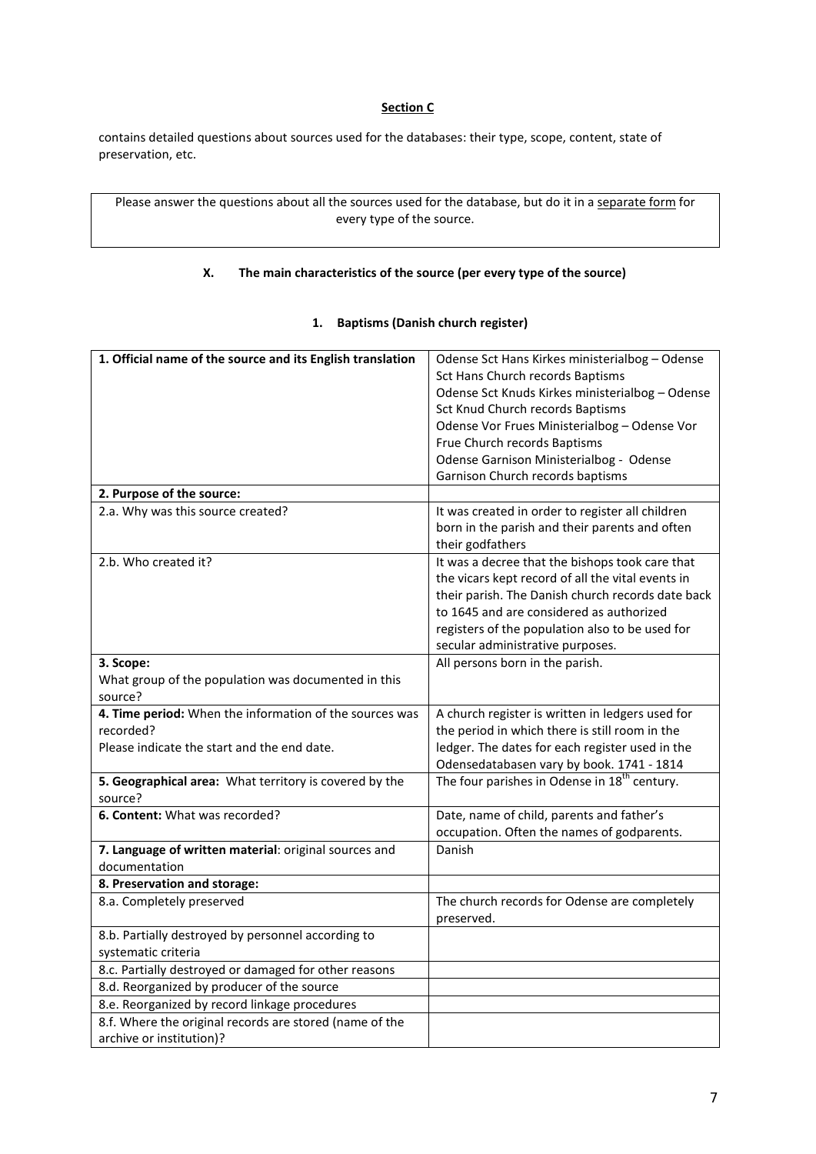## **Section C**

contains detailed questions about sources used for the databases: their type, scope, content, state of preservation, etc.

Please answer the questions about all the sources used for the database, but do it in a separate form for every type of the source.

## **X. The main characteristics of the source (per every type of the source)**

## **1. Baptisms (Danish church register)**

| 1. Official name of the source and its English translation | Odense Sct Hans Kirkes ministerialbog - Odense           |
|------------------------------------------------------------|----------------------------------------------------------|
|                                                            | Sct Hans Church records Baptisms                         |
|                                                            | Odense Sct Knuds Kirkes ministerialbog - Odense          |
|                                                            | Sct Knud Church records Baptisms                         |
|                                                            | Odense Vor Frues Ministerialbog - Odense Vor             |
|                                                            | Frue Church records Baptisms                             |
|                                                            | Odense Garnison Ministerialbog - Odense                  |
|                                                            | Garnison Church records baptisms                         |
| 2. Purpose of the source:                                  |                                                          |
| 2.a. Why was this source created?                          | It was created in order to register all children         |
|                                                            | born in the parish and their parents and often           |
|                                                            | their godfathers                                         |
| 2.b. Who created it?                                       | It was a decree that the bishops took care that          |
|                                                            | the vicars kept record of all the vital events in        |
|                                                            | their parish. The Danish church records date back        |
|                                                            | to 1645 and are considered as authorized                 |
|                                                            | registers of the population also to be used for          |
|                                                            | secular administrative purposes.                         |
| 3. Scope:                                                  | All persons born in the parish.                          |
| What group of the population was documented in this        |                                                          |
| source?                                                    |                                                          |
| 4. Time period: When the information of the sources was    | A church register is written in ledgers used for         |
| recorded?                                                  | the period in which there is still room in the           |
| Please indicate the start and the end date.                | ledger. The dates for each register used in the          |
|                                                            | Odensedatabasen vary by book. 1741 - 1814                |
| 5. Geographical area: What territory is covered by the     | The four parishes in Odense in 18 <sup>th</sup> century. |
| source?                                                    |                                                          |
| 6. Content: What was recorded?                             | Date, name of child, parents and father's                |
|                                                            | occupation. Often the names of godparents.               |
| 7. Language of written material: original sources and      | Danish                                                   |
| documentation                                              |                                                          |
| 8. Preservation and storage:                               |                                                          |
| 8.a. Completely preserved                                  | The church records for Odense are completely             |
|                                                            | preserved.                                               |
| 8.b. Partially destroyed by personnel according to         |                                                          |
| systematic criteria                                        |                                                          |
| 8.c. Partially destroyed or damaged for other reasons      |                                                          |
| 8.d. Reorganized by producer of the source                 |                                                          |
| 8.e. Reorganized by record linkage procedures              |                                                          |
| 8.f. Where the original records are stored (name of the    |                                                          |
| archive or institution)?                                   |                                                          |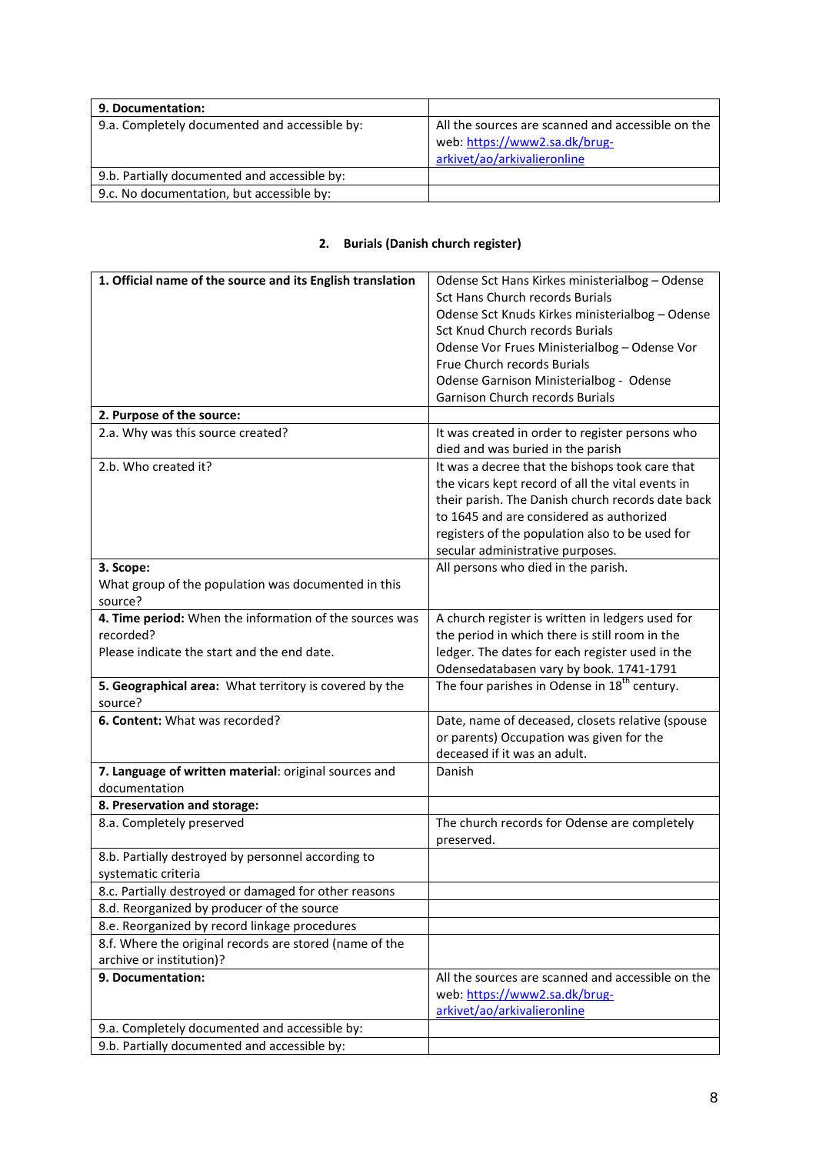| 9. Documentation:                             |                                                                                                                   |
|-----------------------------------------------|-------------------------------------------------------------------------------------------------------------------|
| 9.a. Completely documented and accessible by: | All the sources are scanned and accessible on the<br>web: https://www2.sa.dk/brug-<br>arkivet/ao/arkivalieronline |
| 9.b. Partially documented and accessible by:  |                                                                                                                   |
| 9.c. No documentation, but accessible by:     |                                                                                                                   |

## **2. Burials (Danish church register)**

| 1. Official name of the source and its English translation | Odense Sct Hans Kirkes ministerialbog - Odense             |
|------------------------------------------------------------|------------------------------------------------------------|
|                                                            | Sct Hans Church records Burials                            |
|                                                            | Odense Sct Knuds Kirkes ministerialbog - Odense            |
|                                                            | Sct Knud Church records Burials                            |
|                                                            | Odense Vor Frues Ministerialbog - Odense Vor               |
|                                                            | Frue Church records Burials                                |
|                                                            | Odense Garnison Ministerialbog - Odense                    |
|                                                            | Garnison Church records Burials                            |
| 2. Purpose of the source:                                  |                                                            |
| 2.a. Why was this source created?                          | It was created in order to register persons who            |
|                                                            | died and was buried in the parish                          |
| 2.b. Who created it?                                       | It was a decree that the bishops took care that            |
|                                                            | the vicars kept record of all the vital events in          |
|                                                            | their parish. The Danish church records date back          |
|                                                            | to 1645 and are considered as authorized                   |
|                                                            | registers of the population also to be used for            |
|                                                            | secular administrative purposes.                           |
| 3. Scope:                                                  | All persons who died in the parish.                        |
| What group of the population was documented in this        |                                                            |
| source?                                                    |                                                            |
| 4. Time period: When the information of the sources was    | A church register is written in ledgers used for           |
| recorded?                                                  | the period in which there is still room in the             |
| Please indicate the start and the end date.                | ledger. The dates for each register used in the            |
|                                                            | Odensedatabasen vary by book. 1741-1791                    |
| 5. Geographical area: What territory is covered by the     | The four parishes in Odense in 18 <sup>th</sup> century.   |
| source?                                                    |                                                            |
| 6. Content: What was recorded?                             | Date, name of deceased, closets relative (spouse           |
|                                                            | or parents) Occupation was given for the                   |
|                                                            | deceased if it was an adult.                               |
| 7. Language of written material: original sources and      | Danish                                                     |
| documentation                                              |                                                            |
| 8. Preservation and storage:<br>8.a. Completely preserved  |                                                            |
|                                                            | The church records for Odense are completely<br>preserved. |
| 8.b. Partially destroyed by personnel according to         |                                                            |
| systematic criteria                                        |                                                            |
| 8.c. Partially destroyed or damaged for other reasons      |                                                            |
| 8.d. Reorganized by producer of the source                 |                                                            |
| 8.e. Reorganized by record linkage procedures              |                                                            |
| 8.f. Where the original records are stored (name of the    |                                                            |
| archive or institution)?                                   |                                                            |
| 9. Documentation:                                          | All the sources are scanned and accessible on the          |
|                                                            | web: https://www2.sa.dk/brug-                              |
|                                                            | arkivet/ao/arkivalieronline                                |
| 9.a. Completely documented and accessible by:              |                                                            |
| 9.b. Partially documented and accessible by:               |                                                            |
|                                                            |                                                            |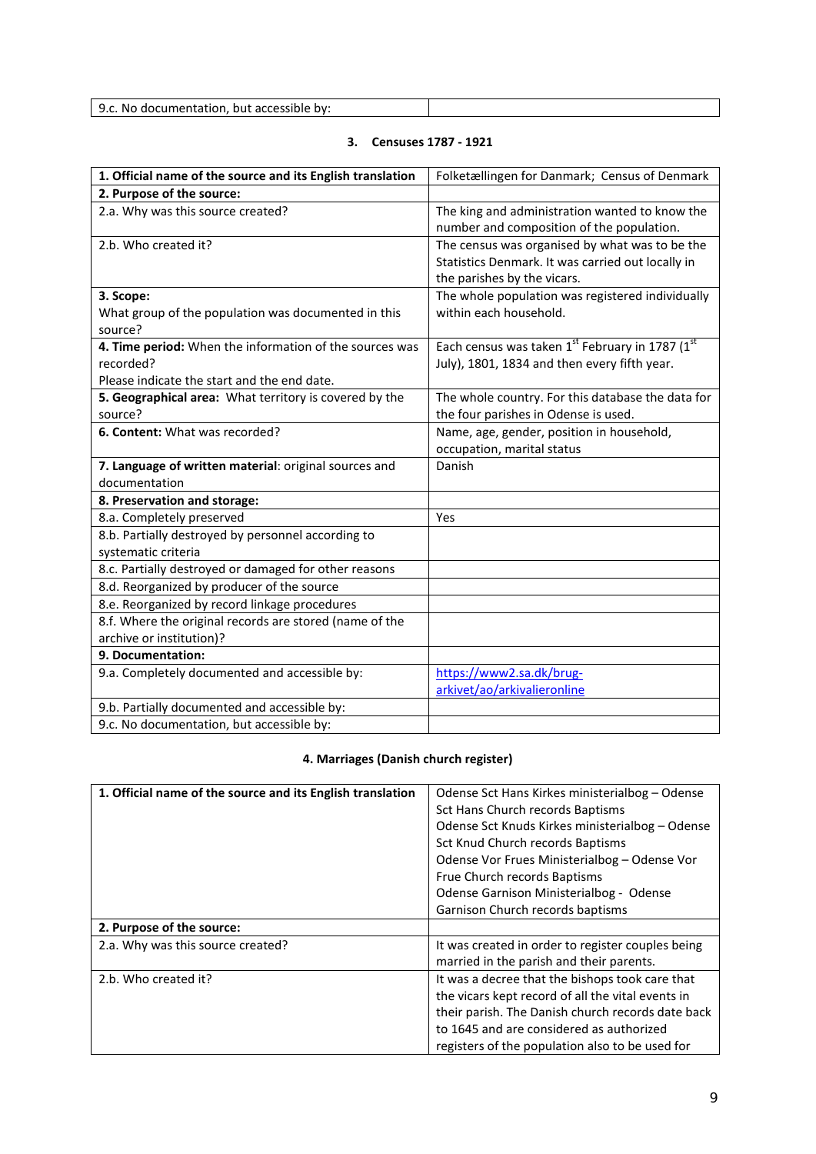| $Q_{\mathcal{L}}$                                                       |  |
|-------------------------------------------------------------------------|--|
| . but accessible .<br>. No doc<br>$\alpha v$<br>cumentation.<br><u></u> |  |

# **3. Censuses 1787 - 1921**

| 1. Official name of the source and its English translation | Folketællingen for Danmark; Census of Denmark                                               |
|------------------------------------------------------------|---------------------------------------------------------------------------------------------|
| 2. Purpose of the source:                                  |                                                                                             |
| 2.a. Why was this source created?                          | The king and administration wanted to know the<br>number and composition of the population. |
| 2.b. Who created it?                                       | The census was organised by what was to be the                                              |
|                                                            | Statistics Denmark. It was carried out locally in<br>the parishes by the vicars.            |
| 3. Scope:                                                  | The whole population was registered individually                                            |
| What group of the population was documented in this        | within each household.                                                                      |
| source?                                                    |                                                                                             |
| 4. Time period: When the information of the sources was    | Each census was taken 1st February in 1787 (1st                                             |
| recorded?                                                  | July), 1801, 1834 and then every fifth year.                                                |
| Please indicate the start and the end date.                |                                                                                             |
| 5. Geographical area: What territory is covered by the     | The whole country. For this database the data for                                           |
| source?                                                    | the four parishes in Odense is used.                                                        |
| 6. Content: What was recorded?                             | Name, age, gender, position in household,                                                   |
|                                                            | occupation, marital status                                                                  |
| 7. Language of written material: original sources and      | Danish                                                                                      |
| documentation                                              |                                                                                             |
| 8. Preservation and storage:                               |                                                                                             |
| 8.a. Completely preserved                                  | Yes                                                                                         |
| 8.b. Partially destroyed by personnel according to         |                                                                                             |
| systematic criteria                                        |                                                                                             |
| 8.c. Partially destroyed or damaged for other reasons      |                                                                                             |
| 8.d. Reorganized by producer of the source                 |                                                                                             |
| 8.e. Reorganized by record linkage procedures              |                                                                                             |
| 8.f. Where the original records are stored (name of the    |                                                                                             |
| archive or institution)?                                   |                                                                                             |
| 9. Documentation:                                          |                                                                                             |
| 9.a. Completely documented and accessible by:              | https://www2.sa.dk/brug-                                                                    |
|                                                            | arkivet/ao/arkivalieronline                                                                 |
| 9.b. Partially documented and accessible by:               |                                                                                             |
| 9.c. No documentation, but accessible by:                  |                                                                                             |

# **4. Marriages (Danish church register)**

| 1. Official name of the source and its English translation | Odense Sct Hans Kirkes ministerialbog – Odense    |
|------------------------------------------------------------|---------------------------------------------------|
|                                                            | Sct Hans Church records Baptisms                  |
|                                                            | Odense Sct Knuds Kirkes ministerialbog - Odense   |
|                                                            | Sct Knud Church records Baptisms                  |
|                                                            | Odense Vor Frues Ministerialbog – Odense Vor      |
|                                                            | Frue Church records Baptisms                      |
|                                                            | Odense Garnison Ministerialbog - Odense           |
|                                                            | Garnison Church records baptisms                  |
| 2. Purpose of the source:                                  |                                                   |
| 2.a. Why was this source created?                          | It was created in order to register couples being |
|                                                            | married in the parish and their parents.          |
| 2.b. Who created it?                                       | It was a decree that the bishops took care that   |
|                                                            | the vicars kept record of all the vital events in |
|                                                            | their parish. The Danish church records date back |
|                                                            | to 1645 and are considered as authorized          |
|                                                            | registers of the population also to be used for   |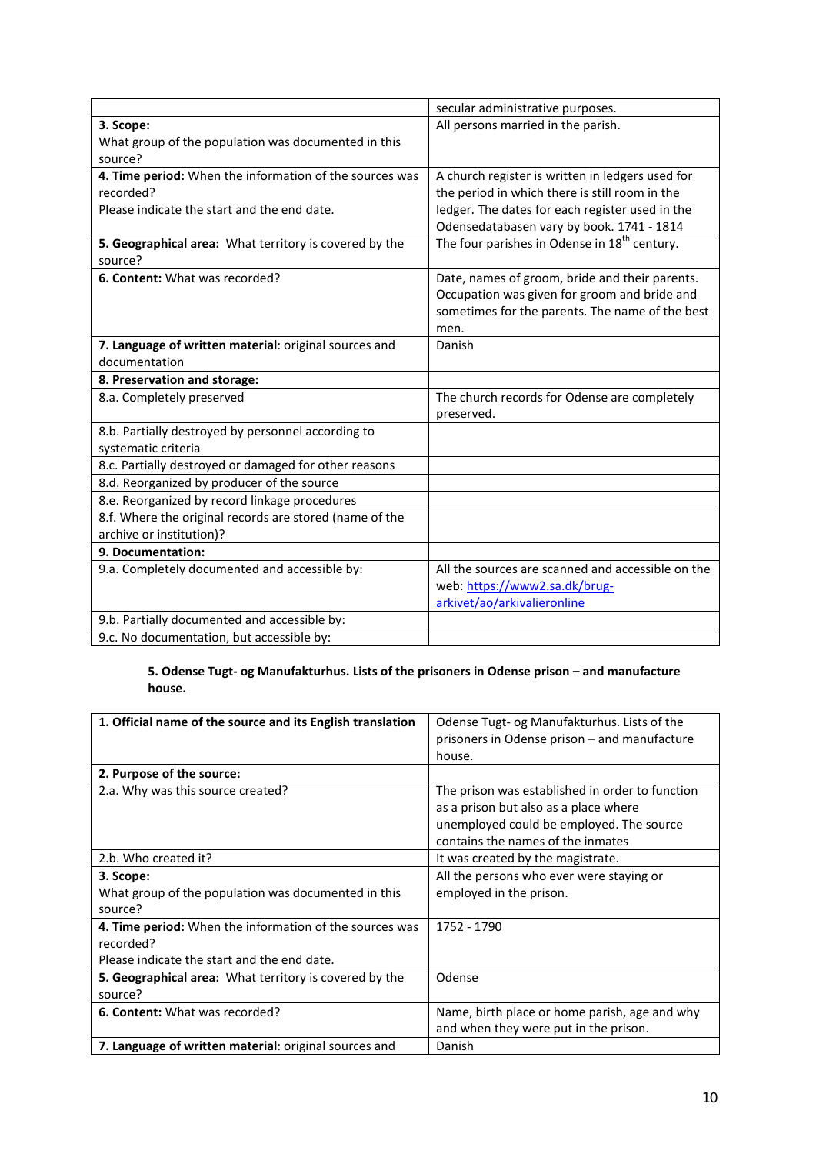|                                                         | secular administrative purposes.                         |
|---------------------------------------------------------|----------------------------------------------------------|
| 3. Scope:                                               | All persons married in the parish.                       |
| What group of the population was documented in this     |                                                          |
| source?                                                 |                                                          |
| 4. Time period: When the information of the sources was | A church register is written in ledgers used for         |
| recorded?                                               | the period in which there is still room in the           |
| Please indicate the start and the end date.             | ledger. The dates for each register used in the          |
|                                                         | Odensedatabasen vary by book. 1741 - 1814                |
| 5. Geographical area: What territory is covered by the  | The four parishes in Odense in 18 <sup>th</sup> century. |
| source?                                                 |                                                          |
| 6. Content: What was recorded?                          | Date, names of groom, bride and their parents.           |
|                                                         | Occupation was given for groom and bride and             |
|                                                         | sometimes for the parents. The name of the best          |
|                                                         | men.                                                     |
| 7. Language of written material: original sources and   | Danish                                                   |
| documentation                                           |                                                          |
| 8. Preservation and storage:                            |                                                          |
| 8.a. Completely preserved                               | The church records for Odense are completely             |
|                                                         | preserved.                                               |
| 8.b. Partially destroyed by personnel according to      |                                                          |
| systematic criteria                                     |                                                          |
| 8.c. Partially destroyed or damaged for other reasons   |                                                          |
| 8.d. Reorganized by producer of the source              |                                                          |
| 8.e. Reorganized by record linkage procedures           |                                                          |
| 8.f. Where the original records are stored (name of the |                                                          |
| archive or institution)?                                |                                                          |
| 9. Documentation:                                       |                                                          |
| 9.a. Completely documented and accessible by:           | All the sources are scanned and accessible on the        |
|                                                         | web: https://www2.sa.dk/brug-                            |
|                                                         | arkivet/ao/arkivalieronline                              |
| 9.b. Partially documented and accessible by:            |                                                          |
| 9.c. No documentation, but accessible by:               |                                                          |

## **5. Odense Tugt- og Manufakturhus. Lists of the prisoners in Odense prison – and manufacture house.**

| 1. Official name of the source and its English translation    | Odense Tugt- og Manufakturhus. Lists of the<br>prisoners in Odense prison – and manufacture<br>house. |
|---------------------------------------------------------------|-------------------------------------------------------------------------------------------------------|
| 2. Purpose of the source:                                     |                                                                                                       |
| 2.a. Why was this source created?                             | The prison was established in order to function<br>as a prison but also as a place where              |
|                                                               | unemployed could be employed. The source                                                              |
|                                                               | contains the names of the inmates                                                                     |
| 2.b. Who created it?                                          | It was created by the magistrate.                                                                     |
| 3. Scope:                                                     | All the persons who ever were staying or                                                              |
| What group of the population was documented in this           | employed in the prison.                                                                               |
| source?                                                       |                                                                                                       |
| 4. Time period: When the information of the sources was       | 1752 - 1790                                                                                           |
| recorded?                                                     |                                                                                                       |
| Please indicate the start and the end date.                   |                                                                                                       |
| <b>5. Geographical area:</b> What territory is covered by the | Odense                                                                                                |
| source?                                                       |                                                                                                       |
| 6. Content: What was recorded?                                | Name, birth place or home parish, age and why                                                         |
|                                                               | and when they were put in the prison.                                                                 |
| 7. Language of written material: original sources and         | Danish                                                                                                |